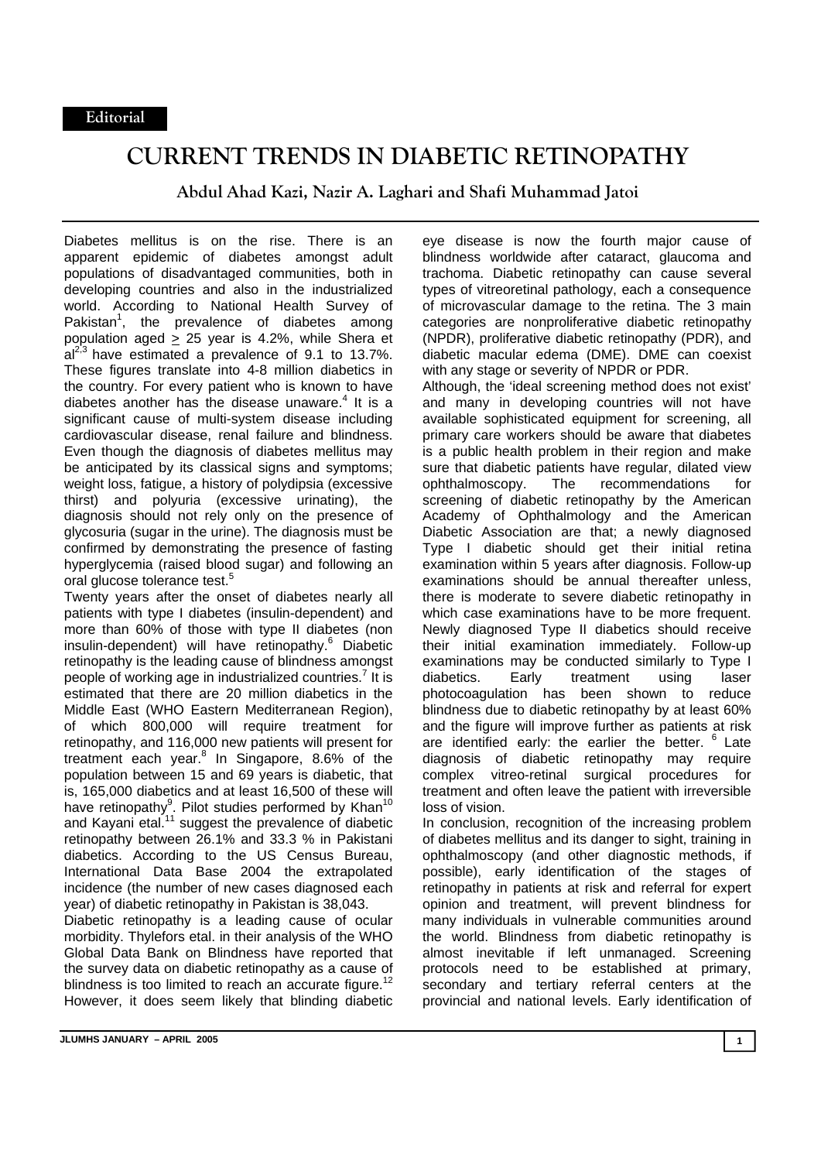## **CURRENT TRENDS IN DIABETIC RETINOPATHY**

**Abdul Ahad Kazi, Nazir A. Laghari and Shafi Muhammad Jatoi** 

Diabetes mellitus is on the rise. There is an apparent epidemic of diabetes amongst adult populations of disadvantaged communities, both in developing countries and also in the industrialized world. According to National Health Survey of Pakistan<sup>1</sup>, the prevalence of diabetes among population aged  $\geq$  25 year is 4.2%, while Shera et  $al^{2,3}$  have estimated a prevalence of 9.1 to 13.7%. These figures translate into 4-8 million diabetics in the country. For every patient who is known to have diabetes another has the disease unaware. $4$  It is a significant cause of multi-system disease including cardiovascular disease, renal failure and blindness. Even though the diagnosis of diabetes mellitus may be anticipated by its classical signs and symptoms; weight loss, fatigue, a history of polydipsia (excessive thirst) and polyuria (excessive urinating), the diagnosis should not rely only on the presence of glycosuria (sugar in the urine). The diagnosis must be confirmed by demonstrating the presence of fasting hyperglycemia (raised blood sugar) and following an oral glucose tolerance test.<sup>5</sup>

Twenty years after the onset of diabetes nearly all patients with type I diabetes (insulin-dependent) and more than 60% of those with type II diabetes (non insulin-dependent) will have retinopathy.<sup>6</sup> Diabetic retinopathy is the leading cause of blindness amongst people of working age in industrialized countries.<sup>7</sup> It is estimated that there are 20 million diabetics in the Middle East (WHO Eastern Mediterranean Region), of which 800,000 will require treatment for retinopathy, and 116,000 new patients will present for treatment each year.<sup>8</sup> In Singapore, 8.6% of the population between 15 and 69 years is diabetic, that is, 165,000 diabetics and at least 16,500 of these will have retinopathy<sup>9</sup>. Pilot studies performed by Khan<sup>10</sup> and Kayani etal.<sup>11</sup> suggest the prevalence of diabetic retinopathy between 26.1% and 33.3 % in Pakistani diabetics. According to the US Census Bureau, International Data Base 2004 the extrapolated incidence (the number of new cases diagnosed each year) of diabetic retinopathy in Pakistan is 38,043.

Diabetic retinopathy is a leading cause of ocular morbidity. Thylefors etal. in their analysis of the WHO Global Data Bank on Blindness have reported that the survey data on diabetic retinopathy as a cause of blindness is too limited to reach an accurate figure.<sup>12</sup> However, it does seem likely that blinding diabetic

eye disease is now the fourth major cause of blindness worldwide after cataract, glaucoma and trachoma. Diabetic retinopathy can cause several types of vitreoretinal pathology, each a consequence of microvascular damage to the retina. The 3 main categories are nonproliferative diabetic retinopathy (NPDR), proliferative diabetic retinopathy (PDR), and diabetic macular edema (DME). DME can coexist with any stage or severity of NPDR or PDR. Although, the 'ideal screening method does not exist' and many in developing countries will not have

available sophisticated equipment for screening, all primary care workers should be aware that diabetes is a public health problem in their region and make sure that diabetic patients have regular, dilated view ophthalmoscopy. The recommendations for screening of diabetic retinopathy by the American Academy of Ophthalmology and the American Diabetic Association are that; a newly diagnosed Type I diabetic should get their initial retina examination within 5 years after diagnosis. Follow-up examinations should be annual thereafter unless, there is moderate to severe diabetic retinopathy in which case examinations have to be more frequent. Newly diagnosed Type II diabetics should receive their initial examination immediately. Follow-up examinations may be conducted similarly to Type I diabetics. Early treatment using laser photocoagulation has been shown to reduce blindness due to diabetic retinopathy by at least 60% and the figure will improve further as patients at risk are identified early: the earlier the better. <sup>6</sup> Late diagnosis of diabetic retinopathy may require complex vitreo-retinal surgical procedures for treatment and often leave the patient with irreversible loss of vision.

In conclusion, recognition of the increasing problem of diabetes mellitus and its danger to sight, training in ophthalmoscopy (and other diagnostic methods, if possible), early identification of the stages of retinopathy in patients at risk and referral for expert opinion and treatment, will prevent blindness for many individuals in vulnerable communities around the world. Blindness from diabetic retinopathy is almost inevitable if left unmanaged. Screening protocols need to be established at primary, secondary and tertiary referral centers at the provincial and national levels. Early identification of